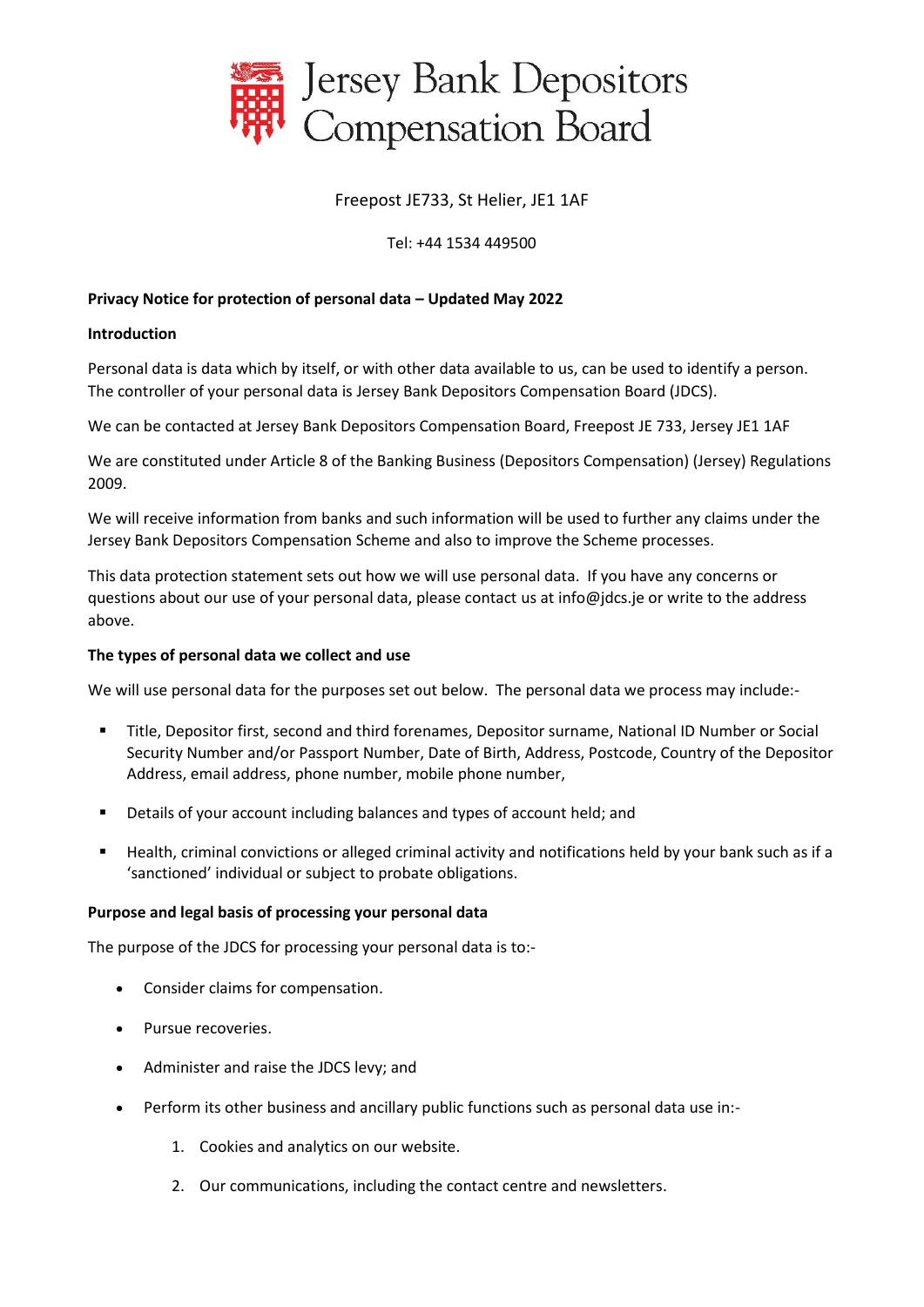

## Freepost JE733, St Helier, JE1 1AF

### Tel: +44 1534 449500

### **Privacy Notice for protection of personal data – Updated May 2022**

#### **Introduction**

Personal data is data which by itself, or with other data available to us, can be used to identify a person. The controller of your personal data is Jersey Bank Depositors Compensation Board (JDCS).

We can be contacted at Jersey Bank Depositors Compensation Board, Freepost JE 733, Jersey JE1 1AF

We are constituted under Article 8 of the Banking Business (Depositors Compensation) (Jersey) Regulations 2009.

We will receive information from banks and such information will be used to further any claims under the Jersey Bank Depositors Compensation Scheme and also to improve the Scheme processes.

This data protection statement sets out how we will use personal data. If you have any concerns or questions about our use of your personal data, please contact us at info@jdcs.je or write to the address above.

#### **The types of personal data we collect and use**

We will use personal data for the purposes set out below. The personal data we process may include:-

- Title, Depositor first, second and third forenames, Depositor surname, National ID Number or Social Security Number and/or Passport Number, Date of Birth, Address, Postcode, Country of the Depositor Address, email address, phone number, mobile phone number,
- Details of your account including balances and types of account held; and
- Health, criminal convictions or alleged criminal activity and notifications held by your bank such as if a 'sanctioned' individual or subject to probate obligations.

#### **Purpose and legal basis of processing your personal data**

The purpose of the JDCS for processing your personal data is to:-

- Consider claims for compensation.
- Pursue recoveries.
- Administer and raise the JDCS levy; and
- Perform its other business and ancillary public functions such as personal data use in:-
	- 1. Cookies and analytics on our website.
	- 2. Our communications, including the contact centre and newsletters.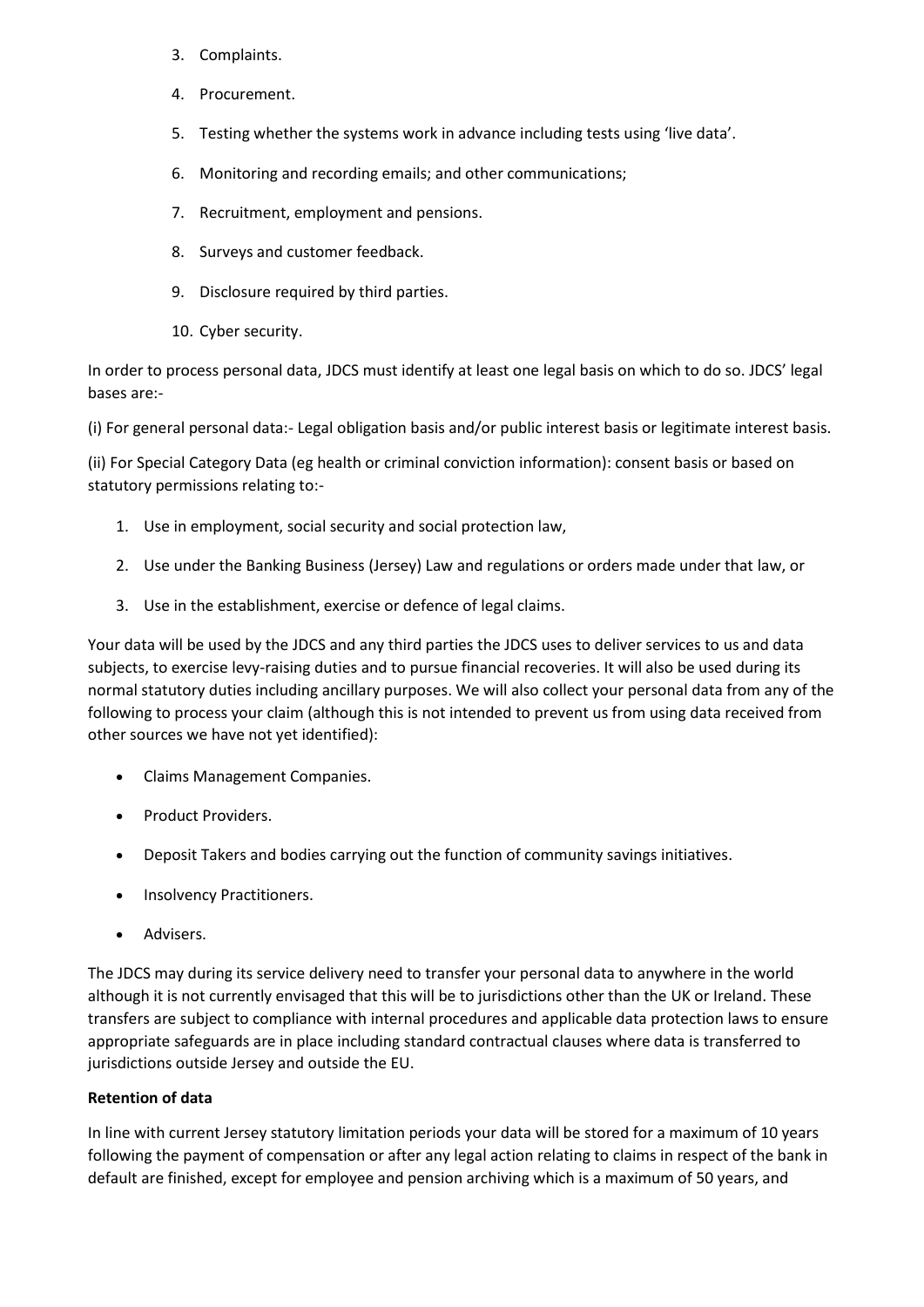- 3. Complaints.
- 4. Procurement.
- 5. Testing whether the systems work in advance including tests using 'live data'.
- 6. Monitoring and recording emails; and other communications;
- 7. Recruitment, employment and pensions.
- 8. Surveys and customer feedback.
- 9. Disclosure required by third parties.
- 10. Cyber security.

In order to process personal data, JDCS must identify at least one legal basis on which to do so. JDCS' legal bases are:-

(i) For general personal data:- Legal obligation basis and/or public interest basis or legitimate interest basis.

(ii) For Special Category Data (eg health or criminal conviction information): consent basis or based on statutory permissions relating to:-

- 1. Use in employment, social security and social protection law,
- 2. Use under the Banking Business (Jersey) Law and regulations or orders made under that law, or
- 3. Use in the establishment, exercise or defence of legal claims.

Your data will be used by the JDCS and any third parties the JDCS uses to deliver services to us and data subjects, to exercise levy-raising duties and to pursue financial recoveries. It will also be used during its normal statutory duties including ancillary purposes. We will also collect your personal data from any of the following to process your claim (although this is not intended to prevent us from using data received from other sources we have not yet identified):

- Claims Management Companies.
- Product Providers.
- Deposit Takers and bodies carrying out the function of community savings initiatives.
- Insolvency Practitioners.
- Advisers.

The JDCS may during its service delivery need to transfer your personal data to anywhere in the world although it is not currently envisaged that this will be to jurisdictions other than the UK or Ireland. These transfers are subject to compliance with internal procedures and applicable data protection laws to ensure appropriate safeguards are in place including standard contractual clauses where data is transferred to jurisdictions outside Jersey and outside the EU.

## **Retention of data**

In line with current Jersey statutory limitation periods your data will be stored for a maximum of 10 years following the payment of compensation or after any legal action relating to claims in respect of the bank in default are finished, except for employee and pension archiving which is a maximum of 50 years, and